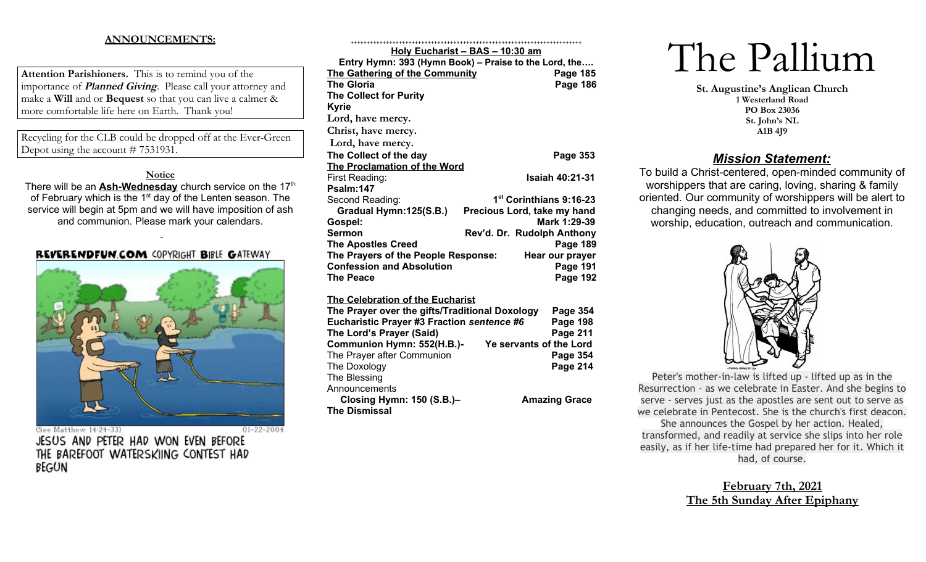## **ANNOUNCEMENTS:**

**Attention Parishioners.** This is to remind you of the importance of **Planned Giving**. Please call your attorney and make a **Will** and or **Bequest** so that you can live a calmer & more comfortable life here on Earth. Thank you!

Recycling for the CLB could be dropped off at the Ever-Green Depot using the account # 7531931.

## **Notice**

There will be an **Ash-Wednesday** church service on the 17<sup>th</sup> of February which is the  $1<sup>st</sup>$  day of the Lenten season. The service will begin at 5pm and we will have imposition of ash and communion. Please mark your calendars.

## REVERENDFUN.COM COPYRIGHT BIBLE GATEWAY



(See Matthew 14:24-33) JESUS AND PETER HAD WON EVEN BEFORE THE BAREFOOT WATERSKIING CONTEST HAD BEGUN

|                                                | <u> Holy Eucharist – BAS – 10:30 am</u>               |
|------------------------------------------------|-------------------------------------------------------|
|                                                | Entry Hymn: 393 (Hymn Book) - Praise to the Lord, the |
| The Gathering of the Community                 | <b>Page 185</b>                                       |
| <b>The Gloria</b>                              | <b>Page 186</b>                                       |
| <b>The Collect for Purity</b>                  |                                                       |
| <b>Kyrie</b>                                   |                                                       |
| Lord, have mercy.                              |                                                       |
| Christ, have mercy.                            |                                                       |
| Lord, have mercy.                              |                                                       |
| The Collect of the day                         | Page 353                                              |
| The Proclamation of the Word                   |                                                       |
| First Reading:                                 | <b>Isaiah 40:21-31</b>                                |
| Psalm:147                                      |                                                       |
| Second Reading:                                | 1 <sup>st</sup> Corinthians 9:16-23                   |
| Gradual Hymn:125(S.B.)                         | Precious Lord, take my hand                           |
| Gospel:                                        | Mark 1:29-39                                          |
| <b>Sermon</b>                                  | Rev'd. Dr. Rudolph Anthony                            |
| <b>The Apostles Creed</b>                      | Page 189                                              |
| The Prayers of the People Response:            | Hear our prayer                                       |
| <b>Confession and Absolution</b>               | Page 191                                              |
| <b>The Peace</b>                               | <b>Page 192</b>                                       |
|                                                |                                                       |
| The Celebration of the Eucharist               |                                                       |
| The Prayer over the gifts/Traditional Doxology | Page 354                                              |
| Eucharistic Prayer #3 Fraction sentence #6     | <b>Page 198</b>                                       |
| The Lord's Prayer (Said)                       | Page 211                                              |
| Communion Hymn: 552(H.B.)-                     | Ye servants of the Lord                               |
| The Prayer after Communion                     | <b>Page 354</b>                                       |
| The Doxology                                   | <b>Page 214</b>                                       |

**Closing Hymn: 150 (S.B.)– Amazing Grace** 

# The Pallium

**St. Augustine's Anglican Church 1 Westerland Road PO Box 23036 St. John's NL A1B 4J9**

## *Mission Statement:*

To build a Christ-centered, open-minded community of worshippers that are caring, loving, sharing & family oriented. Our community of worshippers will be alert to changing needs, and committed to involvement in worship, education, outreach and communication.



Peter's mother-in-law is lifted up - lifted up as in the Resurrection - as we celebrate in Easter. And she begins to serve - serves just as the apostles are sent out to serve as we celebrate in Pentecost. She is the church's first deacon. She announces the Gospel by her action. Healed, transformed, and readily at service she slips into her role easily, as if her life-time had prepared her for it. Which it had, of course.

> **February 7th, 2021 The 5th Sunday After Epiphany**

 $01 - 22 - 2004$ 

The Blessing **Announcements** 

**The Dismissal**